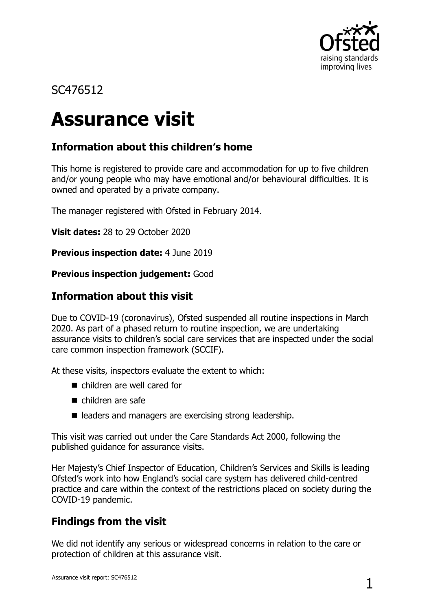

## SC476512

# **Assurance visit**

## **Information about this children's home**

This home is registered to provide care and accommodation for up to five children and/or young people who may have emotional and/or behavioural difficulties. It is owned and operated by a private company.

The manager registered with Ofsted in February 2014.

**Visit dates:** 28 to 29 October 2020

**Previous inspection date:** 4 June 2019

#### **Previous inspection judgement:** Good

## **Information about this visit**

Due to COVID-19 (coronavirus), Ofsted suspended all routine inspections in March 2020. As part of a phased return to routine inspection, we are undertaking assurance visits to children's social care services that are inspected under the social care common inspection framework (SCCIF).

At these visits, inspectors evaluate the extent to which:

- children are well cared for
- children are safe
- leaders and managers are exercising strong leadership.

This visit was carried out under the Care Standards Act 2000, following the published guidance for assurance visits.

Her Majesty's Chief Inspector of Education, Children's Services and Skills is leading Ofsted's work into how England's social care system has delivered child-centred practice and care within the context of the restrictions placed on society during the COVID-19 pandemic.

## **Findings from the visit**

We did not identify any serious or widespread concerns in relation to the care or protection of children at this assurance visit.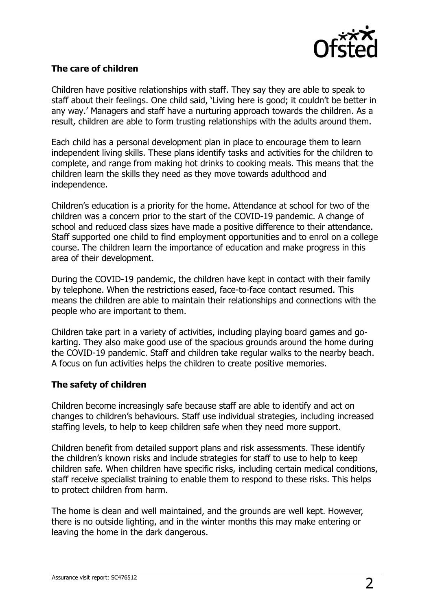

#### **The care of children**

Children have positive relationships with staff. They say they are able to speak to staff about their feelings. One child said, 'Living here is good; it couldn't be better in any way.' Managers and staff have a nurturing approach towards the children. As a result, children are able to form trusting relationships with the adults around them.

Each child has a personal development plan in place to encourage them to learn independent living skills. These plans identify tasks and activities for the children to complete, and range from making hot drinks to cooking meals. This means that the children learn the skills they need as they move towards adulthood and independence.

Children's education is a priority for the home. Attendance at school for two of the children was a concern prior to the start of the COVID-19 pandemic. A change of school and reduced class sizes have made a positive difference to their attendance. Staff supported one child to find employment opportunities and to enrol on a college course. The children learn the importance of education and make progress in this area of their development.

During the COVID-19 pandemic, the children have kept in contact with their family by telephone. When the restrictions eased, face-to-face contact resumed. This means the children are able to maintain their relationships and connections with the people who are important to them.

Children take part in a variety of activities, including playing board games and gokarting. They also make good use of the spacious grounds around the home during the COVID-19 pandemic. Staff and children take regular walks to the nearby beach. A focus on fun activities helps the children to create positive memories.

#### **The safety of children**

Children become increasingly safe because staff are able to identify and act on changes to children's behaviours. Staff use individual strategies, including increased staffing levels, to help to keep children safe when they need more support.

Children benefit from detailed support plans and risk assessments. These identify the children's known risks and include strategies for staff to use to help to keep children safe. When children have specific risks, including certain medical conditions, staff receive specialist training to enable them to respond to these risks. This helps to protect children from harm.

The home is clean and well maintained, and the grounds are well kept. However, there is no outside lighting, and in the winter months this may make entering or leaving the home in the dark dangerous.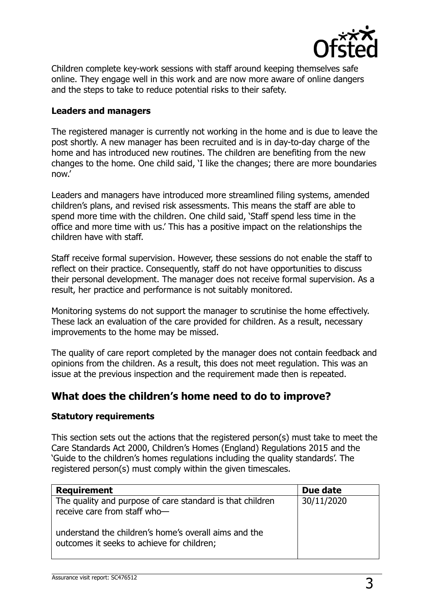

Children complete key-work sessions with staff around keeping themselves safe online. They engage well in this work and are now more aware of online dangers and the steps to take to reduce potential risks to their safety.

#### **Leaders and managers**

The registered manager is currently not working in the home and is due to leave the post shortly. A new manager has been recruited and is in day-to-day charge of the home and has introduced new routines. The children are benefiting from the new changes to the home. One child said, 'I like the changes; there are more boundaries now.'

Leaders and managers have introduced more streamlined filing systems, amended children's plans, and revised risk assessments. This means the staff are able to spend more time with the children. One child said, 'Staff spend less time in the office and more time with us.' This has a positive impact on the relationships the children have with staff.

Staff receive formal supervision. However, these sessions do not enable the staff to reflect on their practice. Consequently, staff do not have opportunities to discuss their personal development. The manager does not receive formal supervision. As a result, her practice and performance is not suitably monitored.

Monitoring systems do not support the manager to scrutinise the home effectively. These lack an evaluation of the care provided for children. As a result, necessary improvements to the home may be missed.

The quality of care report completed by the manager does not contain feedback and opinions from the children. As a result, this does not meet regulation. This was an issue at the previous inspection and the requirement made then is repeated.

### **What does the children's home need to do to improve?**

#### **Statutory requirements**

This section sets out the actions that the registered person(s) must take to meet the Care Standards Act 2000, Children's Homes (England) Regulations 2015 and the 'Guide to the children's homes regulations including the quality standards'. The registered person(s) must comply within the given timescales.

| <b>Requirement</b>                                                                                  | Due date   |
|-----------------------------------------------------------------------------------------------------|------------|
| The quality and purpose of care standard is that children<br>receive care from staff who-           | 30/11/2020 |
| understand the children's home's overall aims and the<br>outcomes it seeks to achieve for children; |            |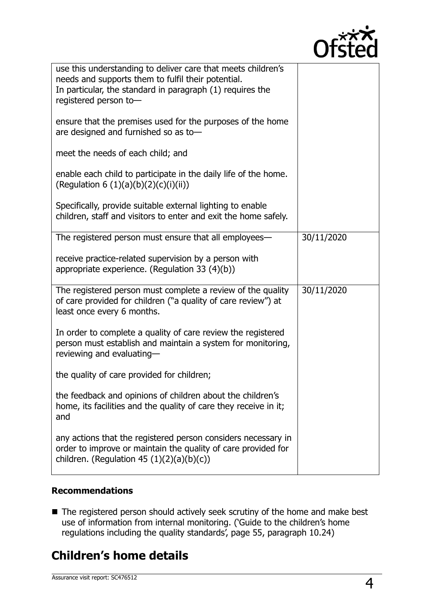

| use this understanding to deliver care that meets children's<br>needs and supports them to fulfil their potential.<br>In particular, the standard in paragraph (1) requires the<br>registered person to- |            |
|----------------------------------------------------------------------------------------------------------------------------------------------------------------------------------------------------------|------------|
| ensure that the premises used for the purposes of the home<br>are designed and furnished so as to-                                                                                                       |            |
| meet the needs of each child; and                                                                                                                                                                        |            |
| enable each child to participate in the daily life of the home.<br>(Regulation 6 $(1)(a)(b)(2)(c)(i)(ii)$ )                                                                                              |            |
| Specifically, provide suitable external lighting to enable<br>children, staff and visitors to enter and exit the home safely.                                                                            |            |
| The registered person must ensure that all employees—                                                                                                                                                    | 30/11/2020 |
| receive practice-related supervision by a person with<br>appropriate experience. (Regulation 33 $(4)(b)$ )                                                                                               |            |
| The registered person must complete a review of the quality<br>of care provided for children ("a quality of care review") at<br>least once every 6 months.                                               | 30/11/2020 |
| In order to complete a quality of care review the registered<br>person must establish and maintain a system for monitoring,<br>reviewing and evaluating-                                                 |            |
| the quality of care provided for children;                                                                                                                                                               |            |
| the feedback and opinions of children about the children's<br>home, its facilities and the quality of care they receive in it;<br>and                                                                    |            |
| any actions that the registered person considers necessary in<br>order to improve or maintain the quality of care provided for<br>children. (Regulation 45 $(1)(2)(a)(b)(c)$ )                           |            |

#### **Recommendations**

■ The registered person should actively seek scrutiny of the home and make best use of information from internal monitoring. ('Guide to the children's home regulations including the quality standards', page 55, paragraph 10.24)

# **Children's home details**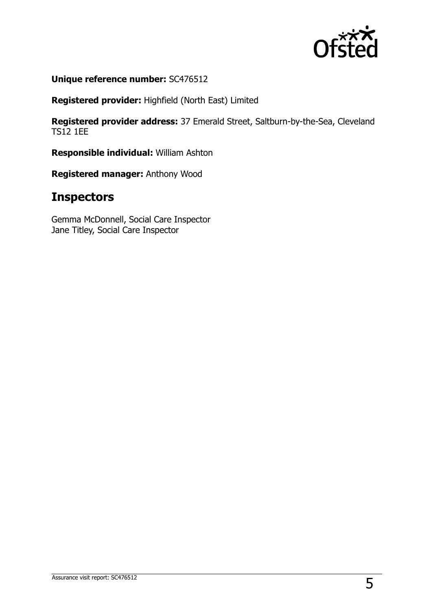

**Unique reference number:** SC476512

**Registered provider:** Highfield (North East) Limited

**Registered provider address:** 37 Emerald Street, Saltburn-by-the-Sea, Cleveland TS12 1EE

**Responsible individual:** William Ashton

**Registered manager:** Anthony Wood

## **Inspectors**

Gemma McDonnell, Social Care Inspector Jane Titley, Social Care Inspector